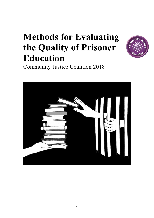# **Methods for Evaluating the Quality of Prisoner Education**



Community Justice Coalition 2018

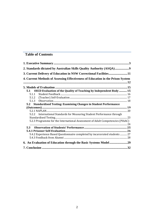## **Table of Contents**

| 2. Standards dictated by Australian Skills Quality Authority (ASQA)             |  |
|---------------------------------------------------------------------------------|--|
| 3. Current Delivery of Education in NSW Correctional Facilities11               |  |
| 4. Current Methods of Assessing Effectiveness of Education in the Prison System |  |
|                                                                                 |  |
|                                                                                 |  |
| 5.1 OECD Evaluation of the Quality of Teaching by Independent Body  15          |  |
|                                                                                 |  |
|                                                                                 |  |
| 5.1.3                                                                           |  |
| 5.2 Standardised Testing: Examining Changes in Student Performance              |  |
|                                                                                 |  |
|                                                                                 |  |
| 5.2.2 International Standards for Measuring Student Performance through         |  |
|                                                                                 |  |
| 5.2.3 Programme for the International Assessment of Adult Competencies (PIAAC)  |  |
|                                                                                 |  |
| $5.3 -$                                                                         |  |
|                                                                                 |  |
| 5.4.2 Experience Based Questionnaire completed by incarcerated students  27     |  |
|                                                                                 |  |
|                                                                                 |  |
|                                                                                 |  |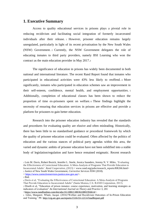#### **1. Executive Summary**

Access to quality educational services in prisons plays a pivotal role in reducing recidivism and facilitating social integration of formerly incarcerated individuals after their release. <sup>1</sup> However, prisoner education remains largely unregulated, particularly in light of its recent privatisation by the New South Wales (NSW) Government. <sup>2</sup> Currently, the NSW Government delegates the role of educating inmates to third party providers, namely BSI Learning who won the contract as the main education provider in May 2017.<sup>3</sup>

The significance of education in prisons has widely been documented in both national and international literature. The recent Rand Report found that inmates who participated in educational activities were 43% less likely to reoffend. <sup>4</sup> More significantly, inmates who participated in education schemes saw an improvement in their self-esteem, confidence, mental health, and employment opportunities. <sup>5</sup> Additionally, completion of educational classes has been shown to reduce the proportion of time ex-prisoners spent on welfare. <sup>6</sup> These findings highlight the necessity of ensuring that education services in prisons are effective and provide a platform for prisoners to gain better education.

Research into the prisoner education industry has revealed that the standards and procedures for evaluating quality are elusive and often misleading. Historically, there has been little to no standardised guidance or procedural framework by which the quality of prisoner education could be evaluated. Often affected by the politics of education and the various stances of political party agendas within this area, the varied and dynamic ambits of prisoner education have not been solidified into a stable body of legislation/regulation and have hence remained enigmatic. Recent research

< [https://www.correctiveservices.justice.nsw.gov.au/>](https://www.correctiveservices.justice.nsw.gov.au/).

<sup>1</sup> Lois M. Davis, Robert Bozick, Jennifer L. Steele, Jessica Saunders, Jeremy N. V. Miles, 'Evaluating the Effectiveness of Correctional Education: A Meta-Analysis of Programs That Provide Education to Incarcerated Adults'. *Rand Cooperation, (*2013) < www.rand.org/pubs/research\_reports/RR266.html> <sup>2</sup> Justice of New South Wales Government, *Corrective Services NSW* (2018).

<sup>3</sup> Ibid.

<sup>4</sup> Davis et al, "Evaluating the Effectiveness of Correctional Education: A Meta-Analysis of Programs That Provide Education to Incarcerated Adults" (Santa Monica, CA: RAND Corporation, 2013).

<sup>5</sup> Diseth et al, "Education of prison inmates: course experience, motivation, and learning strategies as indicators of evaluation" *An International Journal on Theory and Practice* 3, 201 [<https://www.tandfonline.com/doi/abs/10.1080/13803610801956614>](https://www.tandfonline.com/doi/abs/10.1080/13803610801956614).

<sup>6</sup> Giles, Margaret. Whale, Jacqui. (2016)'Welfare and Recidivism Outcomes of In-Prison Education and Training.' P8 <http://crg.aic.gov.au/reports/1516/33-1213-FinalReport.pdf>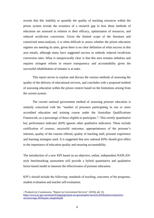reveals that this inability to quantify the quality of teaching resources within the prison system reveals the existence of a research gap in how these methods of education are assessed in relation to their efficacy, optimisation of resources, and reduced recidivism conversion. Given the limited scope of the literature and constricted meta-analyses, it is often difficult to assess whether the prison education regimes are meeting its aims, given there is no clear definition of what success in this area entails, although many have suggested success to embody reduced recidivism conversion rates. What is unequivocally clear is that this area remains nebulous and requires stringent reform to ensure transparency and accountability given the successful rehabilitation of inmates is at stake.

This report serves to explore and discuss the various methods of assessing the quality of the delivery of educational services, and concludes with a proposed method of assessing education within the prison context based on the limitations arising from the current system.

The current national government method of assessing prisoner education is unitarily concerned with the "number of prisoners participating in one or more accredited education and training course under the Australian Qualifications Framework, as a percentage of those eligible to participate."7 This overtly quantitative key performance indicator (KPI) ignores other qualitative indicators. These include certification of courses, successful outcomes, appropriateness of the prisoner's interests, quality of the courses offered, quality of teaching staff, prisoner experience and learning strategies used. It is suggested that new national KPIs should give effect to the importance of education quality and ensuring accountability.

The introduction of a new KPI based on an objective, online, independent NAPLANstyle benchmarking assessment will provide a hybrid quantitative and qualitative factor-based model to measure the effectiveness of prisoner education.

KPI's should include the following: standards of teaching, outcomes of the programs, student evaluation and teacher self-evaluation.

<sup>7</sup> Productivity Commission, "Report on Government Services" (2018), p8, 10, [https://www.pc.gov.au/research/ongoing/report-on-government-services/2018/justice/corrective](https://www.pc.gov.au/research/ongoing/report-on-government-services/2018/justice/corrective-services/rogs-2018-partc-chapter8.pdf)[services/rogs-2018-partc-chapter8.pdf.](https://www.pc.gov.au/research/ongoing/report-on-government-services/2018/justice/corrective-services/rogs-2018-partc-chapter8.pdf)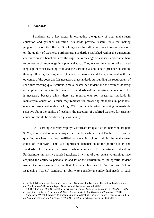#### **1. Standards**

Standards are a key factor in evaluating the quality of both mainstream education and prisoner education. Standards provide "useful tools for making judgements about the effects of teachings"<sup>8</sup> as they allow for more informed decisions on the quality of teachers. Furthermore, standards established within the curriculum can function as a benchmark for the requisite knowledge of teachers, and enable them to convey such knowledge in a practical way.<sup>9</sup> They ensure the creation of a shared language between teaching staff and the various stakeholders in prisoner education, thereby allowing the alignment of teachers, prisoners and the government with the outcomes of the course.<sup>10</sup> It is necessary that standards surrounding the requirement of specialist teaching qualifications, time allocated per student and the form of delivery are implemented in a similar manner to standards within mainstream education. This is necessary because whilst there are requirements for measuring standards in mainstream education, similar requirements for measuring standards in prisoners' education are considerably lacking. With public education becoming increasingly selective about the quality of teachers, the necessity of qualified teachers for prisoner education should be scrutinised just as heavily.

BSI Learning currently employs Certificate IV qualified trainers who are paid \$32/hr, as opposed to university-qualified teachers who are paid \$52/hr. Certificate IV qualified teachers are not qualified to work in schools within the mainstream education framework. This is a significant demarcation of the poorer quality and standards of teaching in prisons when compared to mainstream education. Furthermore, university-qualified teachers, by virtue of their extensive training, have acquired the ability to personalise and tailor the curriculum to the specific student needs. As demonstrated by the first Australian Institute of Teaching and School Leadership (AITSL) standard, an ability to consider the individual needs of each

<sup>8</sup> Elizabeth Kleinhenz and Lawrence Ingvarson, 'Standards for Teaching: Theoretical Underpinnings and Applications' (Research Report New Zealand Teachers Council, 2007).

<sup>9</sup> OECD Publishing, *OECD Education Working Papers No. 174.: What difference do standards make to educating teachers? A Review with Case Studies on Australia, Estonia and Singapore* (2018). <sup>10</sup> Nóra Révai "What difference do standards make to educating teachers?: A review with case studies on Australia, Estonia and Singapore", (*OECD Education Working Papers* No. 174, 2018).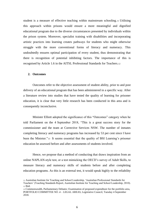student is a measure of effective teaching within mainstream schooling.<sup>11</sup> Utilising this approach within prisons would ensure a more meaningful and dignified educational program due to the diverse circumstances presented by individuals within the prison system. Moreover, specialist training with disabilities and incorporating artistic practices into learning creates pathways for students who might otherwise struggle with the more conventional forms of literacy and numeracy. This undoubtedly ensures optimal participation of every student, thus demonstrating that there is recognition of potential inhibiting factors. The importance of this is recognised by Article 1.6 in the AITSL Professional Standards for Teachers.<sup>12</sup>

#### **2. Outcomes**

Outcomes refer to the objective assessment of student ability, prior to and post delivery of an educational program that has been administered in a specific way. After a literature review into studies that have tested the quality of learning for prisoner education, it is clear that very little research has been conducted in this area and is consequently inconclusive.

Minister Elliott adopted the significance of this "Outcomes" category when he told Parliament on the 4 September 2018, "This is a great success story for the commissioner and the team at Corrective Services NSW. The number of inmates completing literacy and numeracy programs has increased by 53 per cent since I have been the Minister."<sup>13</sup> It seems essential that the quality of BSI Learning's prisoner education be assessed before and after assessments of students involved.

Hence, we propose that a method of conducting that draws inspiration from an online NAPLAN-style test, or a test mimicking the OECD's survey of Adult Skills, to measure literacy and numeracy skills of students before and after completing education programs. As this is an external test, it would speak highly to the reliability

<sup>11</sup> Australian Institute for Teaching and School Leadership, 'Australian Professional Standards for Teachers' (Teaching Standards Report, Australian Institute for Teaching and School Leadership, 2010). <sup>12</sup> Ibid.

<sup>13</sup> Commonwealth, Parliamentary Debates: Examination of proposed expenditure for the portfolio area, PORTFOLIO COMMITTEE NO .4 – LEGAL AREAS, Legislative Council, Tuesday 4 September 2018.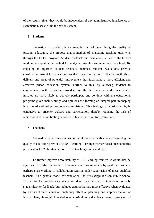of the results, given they would be independent of any administrative interference or systematic biases within the prison system.

#### **3. Students**

Evaluation by students is an essential part of determining the quality of prisoner education. We propose that a method of evaluating teaching quality is through the OECD program. Student feedback and evaluation is used in the OECD module, as a qualitative method for analysing teaching strategies at a base level. By engaging in rigorous student feedback regimes, student evaluations provide constructive insight for education providers regarding the most effective methods of delivery and areas of potential improvement thus facilitating a more efficient and effective prison education system. Further to this, by allowing students to communicate with education providers via the feedback network, incarcerated inmates are more likely to actively participate and continue with the educational programs given their feelings and opinions are forming an integral part in shaping how the educational programs are administered. This feeling of inclusion is highly conducive to prisoner welfare and participation, thereby reducing the risk of recidivism and rehabilitating prisoners in line with restorative justice aims.

#### **4. Teachers**

Evaluation by teachers themselves would be an effective way of assessing the quality of education provided by BSI Learning. Through teacher-based questionnaires proposed in 4.1.2, the standard of current teaching can be addressed.

To further improve accountability of BSI Learning trainers, it would also be significantly useful for trainers to be evaluated professionally by qualified teachers, perhaps even working in collaboration with or under supervision of these qualified teachers. As a general model for evaluation, the Mississippi Jackson Public School District teacher performance evaluation sheet may be used. It integrates not only student/learner feedback, but includes criteria that are most effective when evaluated by another trained educator, including effective planning and implementation of lesson plans, thorough knowledge of curriculum and subject matter, provision of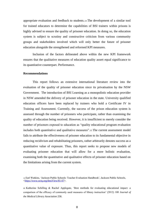appropriate evaluation and feedback to students.<sup>14</sup> The development of a similar tool for trained educators to determine the capabilities of BSI trainers within prisons is highly advised to ensure the quality of prisoner education. In doing so, the education system is subject to scrutiny and constructive criticism from various community groups and stakeholders involved which will only better the future of prisoner education alongside the strengthened and reformed KPI measures.

Inclusion of the factors delineated above within the new KPI framework ensures that the qualitative measures of education quality assert equal significance to its quantitative counterpart. Performance.

#### **Recommendations**

This report follows an extensive international literature review into the evaluation of the quality of prisoner education since its privatisation by the NSW Government. The introduction of BSI Learning as a monopolistic education provider in NSW amended the delivery of prisoner education in the state. University qualified education officers have been replaced by trainers who hold a Certificate IV in Training and Assessment. Currently, the success of the prison education system is assessed through the number of prisoners who participate, rather than examining the quality of education being received. However, it is insufficient to merely consider the number of prisoners exposed to education as "quality educational program evaluation includes both quantitative and qualitative measures".<sup>15</sup> The current assessment model fails to attribute the effectiveness of prisoner education to its fundamental objective in reducing recidivism and rehabilitating prisoners, rather arbitrarily denotes success as a quantitative value of exposure. Thus, this report seeks to propose new models of evaluating prisoner education that will allow for a more holistic evaluation, examining both the quantitative and qualitative effects of prisoner education based on the limitations arising from the current system.

<sup>14</sup> Earl Watkins, 'Jackson Public Schools: Teacher Evaluation Handbook', Jackson Public Schools, [<https://www.nctq.org/dmsView/81-07>](https://www.nctq.org/dmsView/81-07).

**<sup>15</sup>** Katherine Schilling & Rachel Applegate, 'Best methods for evaluating educational impact: a comparison of the efficacy of commonly used measures of library instruction' (2012) 100 *Journal of the Medical Library Association* 258.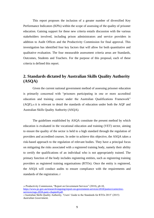This report proposes the inclusion of a greater number of diversified Key Performance Indicators (KPIs) within the scope of assessing of the quality of prisoner education. Gaining support for these new criteria entails discussion with the various stakeholders involved, including prison administrators and service providers in addition to Audit Offices and the Productivity Commission for final approval. This investigation has identified four key factors that will allow for both quantitative and qualitative evaluation. The four measurable assessment criteria areas are Standards, Outcomes, Students and Teachers. For the purpose of this proposal, each of these criteria is defined this report.

## **2. Standards dictated by Australian Skills Quality Authority (ASQA)**

Given the current national government method of assessing prisoner education is primarily concerned with "prisoners participating in one or more accredited education and training course under the Australian Qualifications Framework" (AQF),<sup>16</sup> it is relevant to detail the standards of education under both the AQF and Australian Skills Quality Authority (ASQA).

The guidelines established by ASQA constitute the present method by which education is evaluated in the vocational education and training (VET) sector, aiming to ensure the quality of the sector is held to a high standard through the regulation of providers and accredited courses. In order to achieve this objective, the ASQA takes a risk-based approach to the regulation of relevant bodies. They have a principal focus on mitigating the risks associated with a registered training body, namely their ability to certify the qualifications of an individual who is not appropriately trained. The primary function of the body includes registering entities, such as registering training providers as registered training organisations (RTOs). Once the entity is registered, the ASQA will conduct audits to ensure compliance with the requirements and standards of the registration.<sup>17</sup>

<sup>16</sup> Productivity Commission, "Report on Government Services" (2018), p8-10, [https://www.pc.gov.au/research/ongoing/report-on-government-services/2018/justice/corrective](https://www.pc.gov.au/research/ongoing/report-on-government-services/2018/justice/corrective-services/rogs-2018-partc-chapter8.pdf)[services/rogs-2018-partc-chapter8.pdf.](https://www.pc.gov.au/research/ongoing/report-on-government-services/2018/justice/corrective-services/rogs-2018-partc-chapter8.pdf)

<sup>17</sup>Australian Skills Quality Authority, 'Users' Guide to the Standards for RTOs 2015' (2015) *Australian Government*.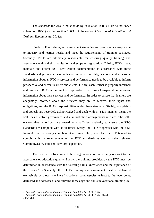The standards the ASQA must abide by in relation to RTOs are found under subsection 185(1) and subsection 186(1) of the *National Vocational Education and Training Regulator Act 2011.*<sup>18</sup>

Firstly, RTOs training and assessment strategies and practices are responsive to industry and learner needs, and meet the requirements of training packages. Secondly, RTOs are ultimately responsible for ensuring quality training and assessment within their organisation and scope of registration. Thirdly, RTOs issue, maintain and accept AQF certification documentation in accordance with these standards and provide access to learner records. Fourthly, accurate and accessible information about an RTO's services and performance needs to be available to inform prospective and current learners and clients. Fifthly, each learner is properly informed and protected. RTOs are ultimately responsible for ensuring transparent and accurate information about their services and performance. In order to ensure that learners are adequately informed about the services they are to receive, their rights and obligations, and the RTOs responsibilities under these standards. Sixthly, complaints and appeals are recorded, acknowledged and dealt with in a fair manner. Next, the RTO has effective governance and administration arrangements in place. The RTO ensures that its officers are vested with sufficient authority to ensure the RTO standards are complied with at all times. Lastly, the RTO cooperates with the VET Regulator and is legally compliant at all times. Thus, it is clear that RTOs need to comply with the requirements of the RTO standards as well as other relevant Commonwealth, state and Territory legislation.

The first two subsections of these regulations are particularly relevant to the assessment of education quality. Firstly, the training provided by the RTO must be determined in accordance with the "existing skills, knowledge and the experience of the learner". <sup>19</sup> Secondly, the RTO's training and assessment must be delivered exclusively by those who have "vocational competencies at least to the level being delivered and addressed" and "current knowledge and skills in vocational training".<sup>20</sup>

<sup>18</sup> *National Vocational Education and Training Regulator Act 2011* (NSW). <sup>19</sup> *National Vocational Education and Training Regulator Act* 2011 (NSW) s1.2.1 20Ibid s1.13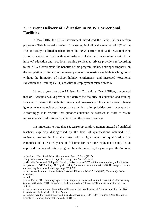## **3. Current Delivery of Education in NSW Correctional Facilities**

In May 2016, the NSW Government introduced the *Better Prisons* reform program.<sup>21</sup> This involved a series of measures, including the removal of 132 of the 152 university-qualified teachers from the NSW correctional facilities, <sup>22</sup> replacing senior education officers with administrative clerks and outsourcing most of the inmates' education and vocational training services to private providers.<sup>23</sup> According to the NSW Government, the benefits of this program includes stronger emphasis on the completion of literacy and numeracy courses, increasing available teaching hours without the limitation of school holiday entitlements, and increased Vocational Education and Training (VET) activities in employment related areas.<sup>24</sup>

Almost a year later, the Minister for Corrections, David Elliott, announced that *BSI Learning* would provide and deliver the majority of education and training services in prisons through its trainers and assessors. <sup>25</sup> This controversial change ignores extensive evidence that private providers often prioritise profit over quality. Accordingly, it is essential that prisoner education be assessed in order to ensure improvements in educational quality within the prison system.<sup>26</sup>

It is important to note that *BSI Learning* employs trainers instead of qualified teachers, explicitly distinguished by the level of qualifications obtained. <sup>27</sup> A registered teacher in Australia must hold a higher education qualification that comprises of at least 4 years of full-time (or part-time equivalent) study in an approved teaching education program. In addition to this, they must pass the National

<sup>21</sup> Justice of New South Wales Government, *Better Prisons* (2017)

<sup>&</sup>lt; [https//www.correctiveservices.justice.nsw.gov.au/Better-Prisons>](https://www.correctiveservices.justice.nsw.gov.au/Better-Prisons).

<sup>22</sup> Michelle Brown and Phillipa McDonald, 'NSW to spend \$237 million on compulsory rehabilitation for prisoners', *ABC* (online), 31 Aug 2016 <http://www.abc.net.au/news/2016-08-31/nsw-governmentannounces-prison-rehabilitation-package/7800708>.

<sup>23</sup> International Commission of Jurists, 'Prisoner Education NSW 2016' (2016) *Community Justice Coalition.* 

<sup>24</sup> Ibid.

<sup>25</sup> Kala Phillip, 'BSI Learning expands their footprint in inmate education to two states', *BSI* Learning (online) 23 October 2018 <http://www.bsilearning.edu.au/blog/item/244-inmate-education-in-twostates>.

<sup>26</sup> For further information, please refer to 'Effects of the Privatization of Prisoner Education in NSW Correctional Centres', 2018 Justice Action.

<sup>27</sup> Commonwealth, *Parliamentary Debates: Budget Estimates 2017-2018 Supplementary Questions,*  Legislative Council, Friday 29 September 2018, 9.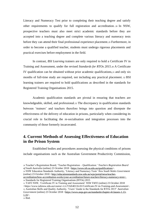Literacy and Numeracy Test prior to completing their teaching degree and satisfy other requirements to qualify for full registration and accreditation. <sup>28</sup> In NSW, prospective teachers must also meet strict academic standards before they are accepted into a teaching degree and complete various literacy and numeracy tests before they can attend their final professional experience placement.<sup>29</sup> Furthermore, in order to become a qualified teacher, students must undergo rigorous placements and practical exercises before employment in the field.

In contrast, *BSI Learning* trainers are only required to hold a Certificate IV in Training and Assessment, under the revised *Standards for RTOs 2015*.<sup>30</sup> A Certificate IV qualification can be obtained without prior academic qualifications,<sup>31</sup> and only six months of full-time study are required, not including any practical placement. <sup>32</sup> BSI learning trainers are required to hold qualifications as described in the standards for Registered Training Organisations 2015.

Academic qualification standards are pivotal in ensuring that teachers are knowledgeable, skilled, and professional.<sup>33</sup> The discrepancy in qualification standards between 'trainers' and teachers therefore brings into question and disrepute the effectiveness of the delivery of education in prisons, particularly when considering its crucial role in facilitating the re-socialisation and integration processes into the community of those formerly incarcerated.

## **4. Current Methods of Assessing Effectiveness of Education in the Prison System**

Established bodies and procedures assessing the physical conditions of prisons include organisations such as the Australian Government Productivity Commission,

<sup>28</sup> Teacher's Registration Board, 'Teacher Registration – Qualification.' *Teachers Registration Board of South Australia* (online) 23 October 2018 [<https://www.trb.sa.edu.au/qualifications>](https://www.trb.sa.edu.au/qualifications).

<sup>29</sup> NSW Education Standards Authority, 'Literacy and Numeracy Tests' *New South Wales Government*  (online) 23 October 2018 [<http://educationstandards.nsw.edu.au/wps/portal/nesa/teacher-](http://educationstandards.nsw.edu.au/wps/portal/nesa/teacher-accreditation/how-accreditation-works/your-accreditation/future-teachers/literacy-numeracy-tests)

[accreditation/how-accreditation-works/your-accreditation/future-teachers/literacy-numeracy-tests>](http://educationstandards.nsw.edu.au/wps/portal/nesa/teacher-accreditation/how-accreditation-works/your-accreditation/future-teachers/literacy-numeracy-tests). <sup>30</sup> Standards for Registered Training Organisations (RTOs) 2015

<sup>31</sup> TAFE NSW, 'Certificate IV in Training and Assessment' *NSW TAFE* (online) 23 October 2018 <https://www.tafensw.edu.au/course/-/c/c/TAE40116-01/Certificate-IV-in-Training-and-Assessment>. <sup>32</sup> Australian Skills and Quality Authority, 'Users' Guide to the Standards for RTOs 2015' *Australian Government* (online) 23 October 2018 [<https://www.asqa.gov.au/standards/chapter-4/clauses-1.13-](https://www.asqa.gov.au/standards/chapter-4/clauses-1.13-1.16) [1.16>](https://www.asqa.gov.au/standards/chapter-4/clauses-1.13-1.16).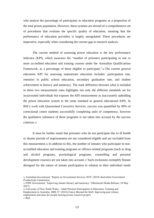who analyse the percentage of participants in education programs as a proportion of the total prison population. However, these systems are devoid of a comprehensive set of procedures that evaluate the specific quality of education, meaning that the performance of education providers is largely unregulated. These procedures are imperative, especially when considering the current gap in research analysis.

The current method of assessing prison education is the key performance indicator (KPI), which measures the "number of prisoners participating in one or more accredited education and training courses under the Australian Qualifications Framework, as a percentage of those eligible to participate."<sup>34</sup> The current *general education* KPI for assessing mainstream education includes: participation rate, retention in public school education, secondary graduation rate, and student achievement in literacy and numeracy. The stark difference between what is included in these two measurement rates highlights not only the different standards set for incarcerated individuals but exposes the KPI measurement as inaccurately upholding the prison education system to the same standard as general educational KPIs. In BSI's work with Queensland Corrective Services, success was quantified by 89% of correctional centre students successfully completing units of competency, however the qualitative substance of these programs is not taken into account by the success criterion.<sup>35</sup>

It must be further noted that prisoners who do not participate due to ill health or shorter periods of imprisonment are not considered eligible and are excluded from this measurement.<sup>36</sup> In addition to this, the number of inmates who participate in nonaccredited education and training programs or offence-related programs (such as drug and alcohol programs, psychological programs, counselling and personal development courses) are not taken into account.<sup>37</sup> Such exclusions exemplify blatant disregard for the nature of inmate participation in relation to their individual needs

<sup>34</sup> Australian Government, 'Report on Government Services 2018' (2018) *Australian Government Productivity Commission*.

<sup>35</sup> NSW Government, 'Improving inmate literacy and numeracy' (Ministerial Media Release, 24 May 2017).

<sup>36</sup> University of New South Wales, 'Adult Prisoner Participation in Education, Training and Employment in Australia, 2008-15' (2016) *Future Beyond the Wall: Improving post release employment outcomes for people leaving prison research project.* 37 **Ibid**.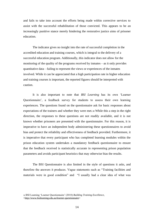and fails to take into account the efforts being made within corrective services to assist with the successful rehabilitation of those convicted. This appears to be an increasingly punitive stance merely hindering the restorative justice aims of prisoner education.

The indicator gives no insight into the rate of successful completion in the accredited education and training courses, which is integral to the delivery of a successful education program. Additionally, this indicator does not allow for the monitoring of the quality of the programs received by inmates—as it only provides quantitative data—failing to represent the views or experiences of the inmates involved. While it can be appreciated that a high participation rate in higher education and training courses is important, the reported figures should be interpreted with caution.

It is also important to note that *BSI Learning* has its own 'Learner Questionnaire', a feedback survey for students to assess their own learning experiences. The questions found on the questionnaire ask for basic responses about expectations of the trainers and whether they were met.<sup>38</sup> While this a step in the right direction, the responses to these questions are not readily available, and it is not known whether prisoners are presented with the questionnaire. For this reason, it is imperative to have an independent body administering these questionnaires to avoid bias and protect the reliability and effectiveness of feedback provided. Furthermore, it is imperative that every participant who has completed learning modules within the prison education system undertakes a mandatory feedback questionnaire to ensure that the feedback received is statistically accurate in representing prison population parameters and avoids participant heuristics that may otherwise bias the results.

The BSI Questionnaire is also limited in the style of questions it asks, and therefore the answers it produces. Vague statements such as "Training facilities and materials were in good condition" and "I usually had a clear idea of what was

<sup>38</sup> BSI Learning 'Learner Questionnaire' (2018) *Building Training Excellence*, [<http://www.bsilearning.edu.au/learner-questionnaire>](http://www.bsilearning.edu.au/learner-questionnaire)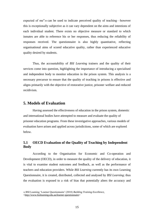expected of me"<sup>39</sup> can be used to indicate perceived quality of teaching—however this is exceptionally subjective as it can vary dependent on the aims and intentions of each individual student. There exists no objective measure or standard to which inmates are able to reference his or her responses, thus reducing the reliability of responses received. The questionnaire is also highly quantitative, reflecting organisational aims of scored educative quality, rather than experienced educative quality desired by students.

Thus, the accountability of *BSI Learning* trainers and the quality of their services come into question, highlighting the importance of introducing a specialised and independent body to monitor education in the prison system. This analysis is a necessary precursor to ensure that the quality of teaching in prisons is effective and aligns primarily with the objective of restorative justice, prisoner welfare and reduced recidivism.

#### **5. Models of Evaluation**

Having assessed the effectiveness of education in the prison system, domestic and international bodies have attempted to measure and evaluate the quality of prisoner education programs. From these investigative approaches, various models of evaluation have arisen and applied across jurisdictions, some of which are explored below.

### **5.1 OECD Evaluation of the Quality of Teaching by Independent Body**

According to the Organisation for Economic and Co-operation and Development (OECD), in order to measure the quality of the delivery of education, it is vital to examine student outcomes and feedback, as well as the performance of teachers and education providers. While *BSI Learning* currently has its own Learning Questionnaire, it is created, distributed, collected and analysed by *BSI Learning*; thus the evaluation is exposed to a risk of bias that potentially alters the accuracy and

<sup>39</sup> BSI Learning 'Learner Questionnaire' (2018) *Building Training Excellence*, [<http://www.bsilearning.edu.au/learner-questionnaire>](http://www.bsilearning.edu.au/learner-questionnaire)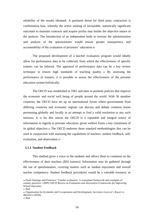reliability of the results obtained. A pertinent threat for third party contractors is confirmation bias, whereby the active seeking of favourable, statistically significant outcomes to maintain contracts and acquire profits may hinder the objective nature of the analysis. The introduction of an independent body to oversee the administration and analysis of the questionnaire would ensure greater transparency and accountability of the evaluation of prisoners' education.<sup>40</sup>

The proposed development of a teacher evaluation program would ideally allow for performance data to be collected, from which the effectiveness of specific trainers can be inferred. The appraisal of performance data can be a key review technique to ensure high standards of teaching quality. <sup>41</sup> By assessing the performance of trainers, it is possible to assess the effectiveness of the prisoner education system holistically.

The OECD was established in 1961 and aims to promote policies that improve the economic and social well being of people around the world. With 36 member countries, the OECD have set up an international forum where governments from differing countries and economic regions can discuss and debate common issues permeating globally and locally in an attempt to find a valid resolution to any such tensions. It is for this reason the OECD is a reputable and integral source of information in regards to prisoner education, given welfare forms a key constituent of its global objective.<sup>42</sup> The OECD endorses three standard methodologies that can be used in conjunction with assessing the capabilities of teachers: student feedback, selfevaluation, and observation.<sup>43</sup>

#### **5.1.1 Student Feedback**

This method gives a voice to the students and allows them to comment on the effectiveness of their teachers (BSI trainers). Information may be gathered through the use of questionnaires, covering matters such as student enjoyment and overall teacher competency. Student feedback procedures would be a valuable resource, as

<sup>40</sup> Paulo Santiago and Francisco 'Teacher evaluation: A conceptual framework and examples of country practices' (2009) *OECD Review on Evaluation and Assessment Frameworks for Improving School Outcomes*.

<sup>41</sup> Ibid.

<sup>42</sup> Organisation for Economic and Co-operation and Development, *Secretary-General's Report to Ministers* (2018).

<sup>43</sup> Ibid.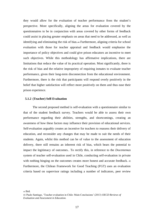they would allow for the evaluation of teacher performance from the student's perspective. More specifically, aligning the areas for evaluation covered by the questionnaires to be in conjunction with areas covered by other forms of feedback could assist in placing greater emphasis on areas that need to be addressed, as well as identifying and eliminating the risk of bias.<sup>44</sup> Furthermore, aligning criteria for school evaluation with those for teacher appraisal and feedback would emphasise the importance of policy objectives and could give prison educators an incentive to meet such objectives. While this methodology has affirmative implications, there are limitations that reduce the value of its practical operation. Most significantly, there is the risk of bias and the relative impropriety of requiring inmates to evaluate teacher performance, given their long-term disconnection from the educational environment. Furthermore, there is the risk that participants will respond overly positively in the belief that higher satisfaction will reflect more positively on them and thus ease their prison experience.

#### **5.1.2 (Teacher) Self-Evaluation**

The second proposed method is self-evaluation with a questionnaire similar to that of the student feedback survey. Teachers would be able to assess their own performance regarding their abilities, strengths, and shortcomings, creating an awareness of how these factors may influence their provision of educational services. Self-evaluation arguably creates an incentive for teachers to reassess their delivery of education, and reconsider any changes that may be made to suit the needs of their students. Again, whilst this method can be of value to the assessment of education delivery, there still remains an inherent risk of bias, which bears the potential to impact the legitimacy of outcomes.. To rectify this, in reference to the *Docentemas* system of teacher self-evaluation used in Chile, conducting self-evaluation in private with nothing hinging on the outcomes creates more honest and accurate feedback.  $45$ Furthermore, the Chilean Framework for Good Teaching (FGT) uses an evaluation criteria based on supervisor ratings including a number of indicators, peer review

<sup>44</sup> Ibid.

<sup>45</sup> Paulo Santiago, 'Teacher evaluation in Chile: Main Conclusions' (2013) *OECD Reviews of Evaluation and Assessment in Education.*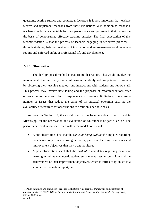questions, scoring rubrics and contextual factors.<sup>46</sup> It is also important that teachers receive and implement feedback from these evaluations. <sup>47</sup> In addition to feedback, teachers should be accountable for their performance and progress in their careers on the basis of demonstrated effective teaching practice. The final expectation of this recommendation is that the process of teachers engaging in reflective practices through studying their own methods of instruction and assessment—should become a routine and enforced ambit of professional life and development.

#### **5.1.3 Observation**

The third proposed method is classroom observation. This would involve the involvement of a third party that would assess the ability and competence of trainers by observing their teaching methods and interactions with students and fellow staff. This process may involve note taking and the proposal of recommendations after observation as necessary. In correspondence to previous limitations, there are a number of issues that reduce the value of its practical operation such as the availability of resources for observations to occur on a periodic basis.

As noted in Section 1.4, the model used by the Jackson Public School Board in Mississippi for the observation and evaluation of educators is of particular use. The performance evaluation sheet used within the model consists of:

- A pre-observation sheet that the *educator being evaluated* completes regarding their lesson objectives, learning activities, particular teaching behaviours and improvement objectives that they want monitored;
- A post-observation sheet that the *evaluator* completes regarding details of learning activities conducted, student engagement, teacher behaviour and the achievement of their improvement objectives, which is intrinsically linked to a summative evaluation report; and

46 Paulo Santiago and Francisco 'Teacher evaluation: A conceptual framework and examples of country practices' (2009) *OECD Review on Evaluation and Assessment Frameworks for Improving School Outcomes*.  $47$  Ibid.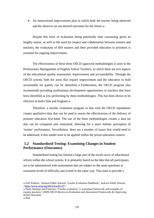• An instructional improvement plan in which both the teacher being observed and the observer set out desired outcomes for the future.<sup>48</sup>

Despite this form of evaluation being potentially time consuming given its lengthy nature, as well as the need for respect and collaboration between trainers and teachers, the evaluation of BSI trainers and their provided education to prisoners is essential for ongoing improvement.

The effectiveness of these three OECD approved methodologies is seen in the Performance Management of English School Teachers, in which there are two aspects of the educational quality assessment: improvement and accountability. Through the OECD system, both the areas that require improvement and the educators to hold accountable for quality can be identified. <sup>49</sup> Furthermore, the OECD program also recommends providing professional development opportunities to teachers that have been identified as low performing by these methodologies. This has been shown to be effective in both Chile and England.<sup>50</sup>

Therefore, a teacher evaluation program in line with the OECD stipulations creates qualitative data that can be used to assess the effectiveness of the delivery of prisoner education first-hand. The use of the three methodologies creates a data set that can be compared and contrasted, allowing for a more holistic perception of 'trainer' performance. Nevertheless, there are a number of issues that would need to be addressed, if this model were to be applied within the prison education context.

## **5.2 Standardised Testing: Examining Changes in Student Performance (Outcomes)**

Standardised testing has formed a large part of the recent wave of educational reform within the school system. It is primarily based on the idea that all participants are to be administered with assessments that are subject to the same questions at consistent levels of difficulty and scored in the same way. This aims to provide a

<sup>48</sup> Earl Watkins, 'Jackson Public Schools: Teacher Evaluation Handbook', Jackson Public Schools, [<https://www.nctq.org/dmsView/81-07>](https://www.nctq.org/dmsView/81-07).

<sup>49</sup> Paulo Santiago and Francisco 'Teacher evaluation: A conceptual framework and examples of country practices' (2009) *OECD Review on Evaluation and Assessment Frameworks for Improving School Outcomes*. <sup>50</sup> Ibid.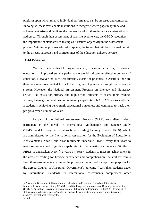platform upon which relative individual performance can be assessed and compared. In doing so, these tests enable institutions to recognise where gaps in aptitude and achievement arise and facilitate the process by which these issues are systematically addressed. Through their assessment of real-life experiences, the OECD recognises the importance of standardised testing as it ensures objectivity in the assessment process. Within the prisoner education sphere, the issues that will be discussed pertain to the effects, successes and shortcomings of the education delivery service.

#### **5.2.1 NAPLAN**

Models of standardised testing are one way to assess the delivery of prisoner education, as improved student performance would indicate an effective delivery of education. However, no such test currently exists for prisoners in Australia, nor are there any measures created to track the progress of prisoners through the education system. However, the National Assessment Program on Literacy and Numeracy (NAPLAN) exists for primary and high school students to assess their reading, writing, language conventions and numeracy capabilities. NAPLAN assesses whether a student is achieving benchmark educational outcomes, and continues to track their progress over a number of years.

As part of the National Assessment Program (NAP), Australian students participate in the Trends in International Mathematics and Science Study (TIMSS) and the Progress in International Reading Literacy Study (PIRLS), which are administered by the International Association for the Evaluation of Educational Achievement.<sup>51</sup> Year 4 and Year 8 students undertake TIMSS every four years to measure content and cognitive capabilities in mathematics and science. Similarly, PIRLS is undertaken every five years by Year 4 students to measure achievement in the areas of reading for literacy experience and comprehension. Australia's results from these assessments are one of the primary sources used for reporting purposes for the agreed Council of Australian Government's outcome "Australian students excel by international standards." <sup>52</sup> International assessments complement other

<sup>51</sup> Australian Government, Department of Education and Training. 'Trends in International Mathematics and Science Study (TIMMS) and the Progress in International Reading Literacy Study (PIRLS). Australian Government Department of Education and Training. (online) 23 October 2018 <https://www.education.gov.au/trends-international-mathematics-and-science-study-timss-andprogress-international-reading-0>.  $52$  Ibid.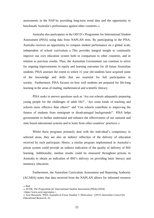assessments in the NAP by providing long-term trend data and the opportunity to benchmark Australia's performance against other countries.<sup>53</sup>

Australia also participates in the OECD's Programme for International Student Assessment (PISA) using data from NAPLAN tests. By participating in the PISA, Australia receives an opportunity to compare student performance on a global scale, independent of school curriculum. <sup>54</sup> This provides integral insight to continually improve our own education system both in comparison to other countries, and in relation to previous results. Thus, the Australian Government can continue to strive for ongoing improvements in equity and learning outcomes for all future Australian students. PISA assesses the extent to which 15 year old students have acquired some of the knowledge and skills that are essential for full participation in society. Furthermore, PISA focuses on how well students are prepared for life-long learning in the areas of reading, mathematical and scientific literacy.

PISA seeks to answer questions such as 'Are our schools adequately preparing young people for the challenges of adult life?', 'Are some kinds of teaching and schools more effective than others?' and 'Can schools contribute to improving the futures of students from immigrant or disadvantaged backgrounds?'. PISA helps governments to further understand and enhance the effectiveness of our national and state based educational systems and to learn from other countries' practices.<sup>55</sup>

Whilst these programs primarily deal with the individual's competency in selected areas, they are also an indirect reflection of the delivery of education received by each participant. Hence, a similar program implemented in Australia's prison system could provide an indirect indication of the quality of delivery of BSI learning. Additionally, median results could be measured throughout prisons in Australia to obtain an indication of BSI's delivery on providing basic literacy and numeracy education.

Furthermore, the Australian Curriculum Assessment and Reporting Authority (ACARA) states that data received from the NAPLAN allows for informed resource

<sup>53</sup> Ibid.

<sup>54</sup> ACER, *The Programme for International Student Assessment (PISA)* (2018)

<sup>&</sup>lt;https://www.acer.org/ozpisa.>.

<sup>55</sup> Acer Research, 'PISA Australia in Focus Number 3: Motivation.' (2015) *Australian Council for Educational Research*, 32.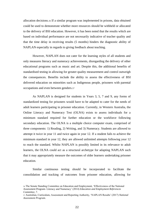allocation decisions.<sup>56</sup> If a similar program was implemented in prisons, data obtained could be used to demonstrate whether more resources should be withheld or allocated to the delivery of BSI education. However, it has been noted that the results which are based on individual performance are not necessarily indicative of teacher quality and that the time delay in receiving results (5 months) hinders the diagnostic ability of NAPLAN especially in regards to giving feedback about teaching.

However, NAPLAN does not cater for the learning styles of all students and only measures literacy and numeracy achievements, disregarding the delivery of other educational programs such as music and art. Despite this, the additional benefits of standardised testing in allowing for greater quality measurement and control outweigh the consequences. Benefits include the ability to assess the effectiveness of BSI delivered education on minorities such as Indigenous people, prisoners with parental occupations and even between genders.<sup>57</sup>

As NAPLAN is designed for students in Years 3, 5, 7 and 9, any forms of standardized testing for prisoners would have to be adapted to cater for the needs of adult learners participating in prisoner education. Currently, in Western Australia, the Online Literacy and Numeracy Test (OLNA) exists to assess individuals for a minimum standard required for further education or the workforce following secondary education. The OLNA is a multiple choice computer exam, comprised of three components: 1) Reading, 2) Writing, and 3) Numeracy. Students are allowed to attempt it twice in year 11 and twice again in year 12. If a student fails to achieve the minimum standard in year 12, they are allowed unlimited attempts following year 12 to reach the standard. Whilst NAPLAN is possibly limited in its relevance to adult learners, the OLNA could act as a structural archetype for adapting NAPLAN such that it may appropriately measure the outcomes of older learners undertaking prisoner education.

Similar continuous testing should be incorporated to facilitate the consolidation and tracking of outcomes from prisoner education, allowing for

<sup>56</sup> The Senate Standing Committee on Education and Employment, 'Effectiveness of the National Assessment Program- Literacy and Numeracy' (2014) *Education and Employment References Committee,* 7*.* 

<sup>57</sup> Australian, Curriculum, Assessment and Reporting Authority, 'NAPLAN Results' (2017) *National Assessment Program*.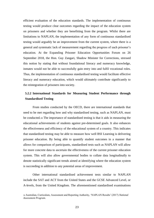efficient evaluation of the education standards. The implementation of continuous testing would produce clear outcomes regarding the impact of the education system on prisoners and whether they are benefitting from the program. Whilst there are limitations to NAPLAN, the implementation of any form of continuous standardised testing would arguably be an improvement from the current system, where there is a general and systematic lack of measurement regarding the progress of each prisoner's education. At the Expanding Prisoner Education Opportunities Forum on 26 September 2018, the Hon. Guy Zangari, Shadow Minister for Corrections, stressed this notion by stating that without foundational literacy and numeracy knowledge, inmates would not be able to successfully gain entry into and fulfil vocational roles. Thus, the implementation of continuous standardised testing would facilitate effective literacy and numeracy education, which would ultimately contribute significantly to the reintegration of prisoners into society.

## **5.2.2 International Standards for Measuring Student Performance through Standardised Testing**

From studies conducted by the OECD, there are international standards that need to be met regarding how and why standardised testing, such as NAPLAN, must be conducted.<sup>58</sup> The importance of standardised testing is that it aids in measuring the educational achievements of students against pre-determined goals. It also enhances the effectiveness and efficiency of the educational system of a country. This indicates that standardised testing may be able to measure how well BSI Learning is delivering prisoner education. By being able to quantify student outcomes in a manner that allows for comparison of participants, standardised tests such as NAPLAN will allow for more concrete data to ascertain the effectiveness of the current prisoner education system. This will also allow governmental bodies to collate data longitudinally to denote statistically significant trends aimed at identifying where the education system is succeeding in addition to any potential areas of improvement.

Other international standardised achievement tests similar to NAPLAN include the SAT and ACT from the United States and the GCSE Advanced Level, or A-levels, from the United Kingdom. The aforementioned standardised examinations

<sup>58</sup> Australian, Curriculum, Assessment and Reporting Authority, 'NAPLAN Results' (2017) *National Assessment Program*.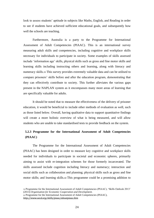look to assess students' aptitude in subjects like Maths, English, and Reading in order to see if students have achieved sufficient educational goals, and subsequently how well the schools are teaching.

Furthermore, Australia is a party to the Programme for International Assessment of Adult Competencies (PIAAC). This is an international survey measuring adult skills and competencies, including cognitive and workplace skills necessary for individuals to participate in society. Some examples of skills assessed include 'information age' skills, physical skills such as gross and fine motor skills and learning skills including instructing others and learning, along with literacy and numeracy skills.<sup>59</sup> This survey provides extremely valuable data and can be utilised to compare prisoners' skills before and after the education program, demonstrating that they can effectively contribute to society. This further alleviates the various gaps present in the NAPLAN system as it encompasses many more areas of learning that are specifically valuable for adults.

It should be noted that to measure the effectiveness of the delivery of prisoner education, it would be beneficial to include other methods of evaluation as well, such as those listed below. Overall, having qualitative data to support quantitative findings will create a more holistic overview of what is being measured, and will allow students who are unable to take standardised tests to provide feedback on the system.

## **5.2.3 Programme for the International Assessment of Adult Competencies (PIAAC)**

The Programme for the International Assessment of Adult Competencies (PIAAC) has been designed in order to measure key cognitive and workplace skills needed for individuals to participate in societal and economic spheres, primarily aiming to assist with re-integration schemes for those formerly incarcerated. The skills assessed include cognition including literacy and numeracy; interaction and social skills such as collaboration and planning; physical skills such as gross and fine motor skills; and learning skills.<sup>60</sup> This programme could be a promising addition to

<sup>59</sup> Programme for the International Assessment of Adult Competencies (PIAAC), 'Skills Outlook 2013' (2013) *Organisation for Economic Cooperation and Development*.

<sup>60</sup> Programme for the International Assessment of Adult Competencies (PIAAC), *<http://www.oecd.org/skills/piaac/aboutpiaac.htm>*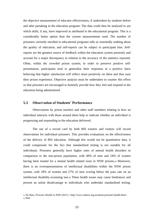the objective measurement of educator effectiveness, if undertaken by students before and after partaking in the education program. The data could then be analysed to see which skills, if any, have improved as attributed to the educational program. This is a considerably better option than the current measurements used. The number of prisoners currently enrolled in educational programs tells us essentially nothing about the quality of education, and self-reports can be subject to participant bias. Selfreports are the greatest source of feedback within the education system presently and account for a major discrepancy in relation to the accuracy of the statistics reported. Often, within the crowded prison system, in order to preserve positive selfpresentation, participants tend to generalise their responses in a positive skew believing that higher satisfaction will reflect more positively on them and thus ease their prison experience. Objective analysis must be undertaken to counter this effect so that prisoners are encouraged to honestly provide how they feel and respond to the education being administered.

#### **5.3 Observation of Students' Performance**

Observations by prison teachers and other staff members relating to how an individual interacts with those around them help to indicate whether an individual is progressing and responding to the education delivered.

The use of a record card by both BSI trainers and visitors will record observations for individual prisoners. This provides evaluations on the effectiveness of the delivery of BSI education. Although this would not be quantitative data, it could compensate for the fact that standardised testing is not suitable for all individuals. Prisoners generally have higher rates of mental health disorders in comparison to the non-prison population, with 48% of men and 54% of women having been treated for a mental health related issue in NSW prisons.<sup>61</sup> Moreover, there is an overrepresentation of intellectual disabilities within the NSW prison system, with 18% of women and 27% of men scoring below the pass rate on an intellectual disability-screening test.<sup>62</sup> These health issues may cause hindrances and present an unfair disadvantage to individuals who undertake standardised testing.

<sup>61</sup> No Bars, *Prisoner Health in NSW* (2011) *<*http://www.nobars.org.au/about-prisoner-health.html>.  $62$  Ibid.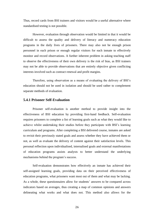Thus, record cards from BSI trainers and visitors would be a useful alternative where standardised testing is not possible.

However, evaluation through observation would be limited in that it would be difficult to assess the quality and delivery of literacy and numeracy education programs in the daily lives of prisoners. There may also not be enough prison personnel in each prison or enough regular visitors for each inmate to effectively monitor and record observations. A further inherent problem in asking teaching staff to observe the effectiveness of their own delivery is the risk of bias, as BSI trainers may not be able to provide observations that are entirely objective given conflicting interests involved such as contract renewal and profit margins.

Therefore, using observation as a means of evaluating the delivery of BSI's education should not be used in isolation and should be used rather to complement separate methods of evaluation.

#### **5.4.1 Prisoner Self-Evaluation**

Prisoner self-evaluation is another method to provide insight into the effectiveness of BSI education by providing first-hand feedback. Self-evaluation requires prisoners to complete a list of learning goals such as what they would like to achieve whilst undertaking their studies before they participate with BSI's learning curriculum and programs. After completing a BSI delivered course, inmates are asked to revisit their previously stated goals and assess whether they have achieved them or not, as well as evaluate the delivery of content against their satisfaction levels. This personal reflection upon individualised, internalised goals and external manifestations of education programs assists analysts to better understand the underlying mechanisms behind the program's success.

Self-evaluation demonstrates how effectively an inmate has achieved their self-assigned learning goals, providing data on their perceived effectiveness of education programs, what prisoners want most out of them and what may be lacking. As a whole, these questionnaires allow for students' answers to be compared across indicators based on averages, thus creating a map of common opinions and answers delineating what works and what does not. This method also allows for the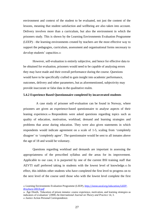environment and context of the student to be evaluated, not just the content of the lessons, meaning that student satisfaction and wellbeing are also taken into account. Delivery involves more than a curriculum, but also the environment in which the prisoners study. This is shown by the Learning Environments Evaluation Programme (LEEP)—the learning environments created by teachers are the most effective way to support the pedagogies, curriculum, assessment and organisational forms necessary to develop students' capacities.<sup>63</sup>

However, self-evaluation is entirely subjective, and hence for effective data to be obtained for evaluation, prisoners would need to be capable of analysing errors they may have made and their overall performance during the course. Questions would have to be specifically crafted to gain insight into academic performance, outcomes, delivery and other parameters, but as aforementioned, subjectivity may provide inaccurate or false data in the qualitative realm.

#### **5.4.2 Experience Based Questionnaire completed by incarcerated students**

A case study of prisoner self-evaluation can be found in Norway, where prisoners are given an experience-based questionnaire to analyse aspects of their leaning experience. <sup>64</sup> Respondents were asked questions regarding topics such as quality of education, motivation, workload, demand and learning strategies and problems that arose during education. They were also given statements in which respondents would indicate agreement on a scale of 1-5, scaling from 'completely disagree' to 'completely agree'. The questionnaire would be sent to all inmates above the age of 18 and would be voluntary.

Questions regarding workload and demands are important in assessing the appropriateness of the prescribed syllabus and the areas for its improvement. Applicable to our case, it is purported by one of the current BSI training staff that AEVTI staff preferred taking in students with the lowest level of knowledge.65 In effect, this inhibits other students who have completed the first level to progress on to the next level of the course until those who with the lowest level complete the first

<sup>63</sup> Learning Environments Evaluation Programme (LEEP), *[http://www.oecd.org/education/LEEP-](http://www.oecd.org/education/LEEP-Brochure-OECD.pdf)[Brochure-OECD.pdf](http://www.oecd.org/education/LEEP-Brochure-OECD.pdf)*

<sup>64</sup> Åge Diseth, 'Education of prison inmates: course experience, motivation, and learning strategies as indicators of evaluation' (2008) *An International Journal on Theory and Practice* 14, 3. <sup>65</sup> Justice Action Personal Correspondence.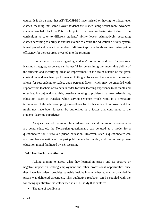course. It is also stated that AEVTI/CSI/BSI have insisted on having no mixed level classes, meaning that some slower students are rushed along whilst more advanced students are held back. <sup>66</sup> This could point to a case for better structuring of the curriculum to cater to different students' ability levels. Alternatively, separating classes according to ability is another avenue to ensure the education delivery system is well paced and caters to a number of different aptitude levels and maximises prime efficiency for the resources invested into the program.

In relation to questions regarding students' motivation and use of appropriate learning strategies, responses can be useful for determining the underlying ability of the students and identifying areas of improvement in the realm outside of the given curriculum and teachers performance. Putting a focus on the students themselves allows for respondents to reflect upon personal flaws, which may be amended with support from teachers or trainers in order for their learning experience to be stable and effective. In conjunction to this, questions relating to problems that may arise during education—such as transfers while serving sentence which result in a premature termination of the education program—allows for further areas of improvement that might not have been foreseen by authorities as a factor that contributes to the students' learning experience.

As questions both focus on the academic and social realms of prisoners who are being educated, the Norwegian questionnaire can be used as a model for a questionnaire for Australia's prison education. However, such a questionnaire can also involve evaluation of the past public education model, and the current private education model facilitated by BSI Learning.

#### **5.4.3 Feedback from Alumni**

Asking alumni to assess what they learned in prison and its positive or negative impact on seeking employment and other professional opportunities once they have left prison provides valuable insight into whether education provided in prison was delivered effectively. This qualitative feedback can be coupled with the following quantitative indicators used in a U.S. study that explored:

• The rate of recidivism

 $66$  Ibid.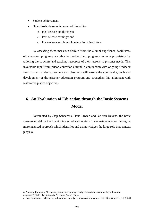- Student achievement
- Other Post-release outcomes not limited to:
	- o Post-release employment;
	- o Post-release earnings; and
	- o Post-release enrolment in educational institute.<sup>67</sup>

By assessing these measures derived from the alumni experience, facilitators of education programs are able to market their programs more appropriately by tailoring the structure and teaching resources of their lessons to prisoner needs. This invaluable input from prison education alumni in conjunction with ongoing feedback from current students, teachers and observers will ensure the continual growth and development of the prisoner education program and strengthen this alignment with restorative justice objectives.

# **6. An Evaluation of Education through the Basic Systems Model**

Formulated by Jaap Scheerens, Hans Luyten and Jan van Ravens, the basic systems model on the functioning of education aims to evaluate education through a more nuanced approach which identifies and acknowledges the large role that context plays.<sup>68</sup>

<sup>67</sup> Amanda Pompoco, 'Reducing inmate misconduct and prison returns with facility education programs' (2017) *Criminology & Public Policy* 16, 2. <sup>68</sup> Jaap Scheerens, 'Measuring educational quality by means of indicators' (2011) *Springer* 1, 1 [35-50].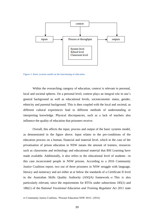

**Figure 1: Basic systems model on the functioning of education**

Within the overarching category of education, context is relevant to personal, local and societal spheres. On a personal level, context plays an integral role in one's general background as well as educational levels, socioeconomic status, gender, ethnicity and parental background. This is then coupled with the local and societal, as different cultural experiences lead to different methods of understanding or interpreting knowledge. Physical discrepancies, such as a lack of teachers also influence the quality of education that prisoners receive.

Overall, this affects the input, process and output of the basic systems model, as demonstrated in the figure above. Input relates to the pre-conditions of the education process on a human, financial and material level, which in the case of the privatisation of prison education in NSW means the amount of trainers, resources such as classrooms and technology and educational material that BSI Learning have made available. Additionally, it also refers to the educational level of students—in this case incarcerated people in NSW prisons. According to a 2016 Community Justice Coalition report, two out of three prisoners in NSW struggle with language, literacy and numeracy and are either at or below the standards of a Certificate II level in the Australian Skills Quality Authority (ASQA) framework. <sup>69</sup> This is also particularly relevant, since the requirements for RTOs under subsections 185(1) and 186(1) of the *National Vocational Education and Training Regulator Act 2011* state

<sup>69</sup> Community Justice Coalition, 'Prisoner Education NSW 2016', (2016)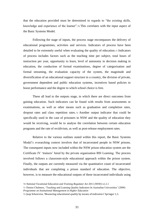that the education provided must be determined in regards to "the existing skills, knowledge and experience of the learner".<sup>70</sup> This correlates with the input aspect of the Basic Systems Model.

Following the stage of inputs, the process stage encompasses the delivery of educational programmes, activities and services. Indicators of process have been detailed to be extremely useful when evaluating the quality of education.<sup>71</sup> Indicators of process includes factors such as the teaching time per subject, total hours of instruction per year, opportunity to learn, level of autonomy in decision making in education, the conduction of formal examinations, degree of categorisation and formal streaming, the evaluation capacity of the system, the magnitude and diversification of an educational support structure in a country, the division of private, government dependent and public education systems, incentives based policies to boost performance and the degree to which school choice is free.

These all lead to the outputs stage, in which there are direct outcomes from gaining education. Such indicators can be found with results from assessments or examinations, as well as other means such as graduation and completion rates, dropout rates and class repetition rates. <sup>72</sup> Another output indicator that could be specifically used in the case of prisoners in NSW and the quality of education they would be receiving, would be to analyse the correlation between certain education programs and the rate of recidivism, as well as post-release employment rates.

Relative to the various outlines stated within this report, the Basic Systems Model's overarching context involves that of incarcerated people in NSW prisons. The consequent inputs now included within the NSW prison education system are the Certificate IV 'trainers' hired by the private organisation BSI Learning. The process involved follows a classroom-style educational approach within the prison system. Finally, the outputs are currently measured via the quantitative count of incarcerated individuals that are completing a prison standard of education. The objective, however, is to measure the educational outputs of these incarcerated individuals using

<sup>70</sup> *National Vocational Education and Training Regulator Act* 2011 (NSW) s1.2.1

<sup>71</sup> Denise Chalmers, 'Teaching and Learning Quality Indicators In Australian Universities' (2008) *Programme on Institutional Management in Higher Education*

<sup>72</sup> Jaap Scheerens, 'Measuring educational quality by means of indivators' Springer 1,1.